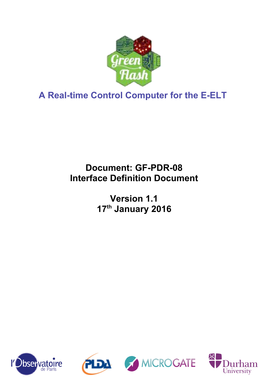

**A Real-time Control Computer for the E-ELT**

# **Document: GF-PDR-08 Interface Definition Document**

**Version 1.1 17th January 2016**







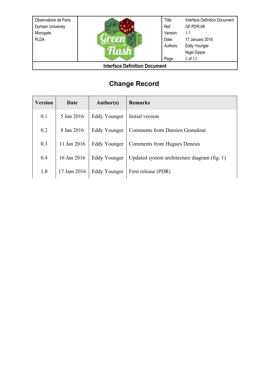| Observatoire de Paris<br>Durham University<br>Microgate<br><b>PLDA</b> |  | Title:<br>Ref:<br>Version:<br>Date:<br>Authors: | Interface Definition Document<br>GF-PDR-08<br>1.1<br>17 January 2016<br><b>Eddy Younger</b><br>Nigel Dipper |
|------------------------------------------------------------------------|--|-------------------------------------------------|-------------------------------------------------------------------------------------------------------------|
|                                                                        |  | Page:                                           | 2 of 12                                                                                                     |
| <b>Interface Definition Document</b>                                   |  |                                                 |                                                                                                             |

# **Change Record**

| <b>Version</b> | Date        | <b>Author(s)</b> | <b>Remarks</b>                               |
|----------------|-------------|------------------|----------------------------------------------|
| 0.1            | 5 Jan 2016  | Eddy Younger     | Initial version                              |
| 0.2            | 8 Jan 2016  | Eddy Younger     | <b>Comments from Damien Gratadour</b>        |
| 0.3            | 11 Jan 2016 | Eddy Younger     | Comments from Hugues Deneux                  |
| 0.4            | 16 Jan 2016 | Eddy Younger     | Updated system architecture diagram (fig. 1) |
| 1.0            | 17 Jam 2016 | Eddy Younger     | First release (PDR)                          |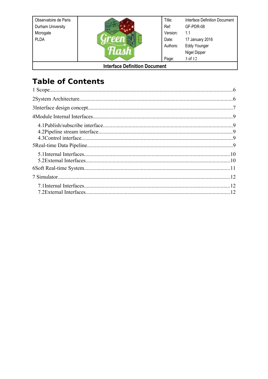Observatoire de Paris Durham University Microgate PLDA



Title: Interface Definition Document Ref: GF-PDR-08 Version:  $1.1$ 17 January 2016 Date: Eddy Younger Authors: Nigel Dipper Page: 3 of 12

### **Interface Definition Document**

# **Table of Contents**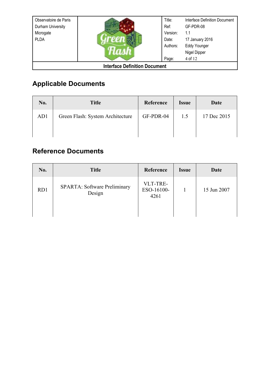| Observatoire de Paris<br>Durham University<br>Microgate<br><b>PLDA</b> |  | Title:<br>Ref:<br>Version:<br>Date:<br>Authors: | <b>Interface Definition Document</b><br>GF-PDR-08<br>1.1<br>17 January 2016<br><b>Eddy Younger</b><br>Nigel Dipper |
|------------------------------------------------------------------------|--|-------------------------------------------------|--------------------------------------------------------------------------------------------------------------------|
|                                                                        |  | Page:                                           | 4 of 12                                                                                                            |
| <b>Interface Definition Document</b>                                   |  |                                                 |                                                                                                                    |

# **Applicable Documents**

<span id="page-3-0"></span>

| No. | <b>Title</b>                     | Reference | <b>Issue</b> | Date        |
|-----|----------------------------------|-----------|--------------|-------------|
| AD1 | Green Flash: System Architecture | GF-PDR-04 | 1.5          | 17 Dec 2015 |
|     |                                  |           |              |             |

## **Reference Documents**

<span id="page-3-1"></span>

| No. | <b>Title</b>                           | Reference                      | <b>Issue</b> | Date        |
|-----|----------------------------------------|--------------------------------|--------------|-------------|
| RD1 | SPARTA: Software Preliminary<br>Design | VLT-TRE-<br>ESO-16100-<br>4261 |              | 15 Jun 2007 |
|     |                                        |                                |              |             |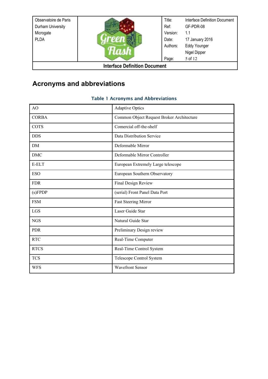| Observatoire de Paris<br>Durham University<br>Microgate<br><b>PLDA</b> |  | Title:<br>Ref:<br>Version:<br>Date:<br>Authors: | Interface Definition Document<br>GF-PDR-08<br>1.1<br>17 January 2016<br><b>Eddy Younger</b><br>Nigel Dipper |
|------------------------------------------------------------------------|--|-------------------------------------------------|-------------------------------------------------------------------------------------------------------------|
|                                                                        |  | Page:                                           | 5 of 12                                                                                                     |
| <b>Interface Definition Document</b>                                   |  |                                                 |                                                                                                             |

## **Acronyms and abbreviations**

#### Table 1 Acronyms and Abbreviations

| AO           | <b>Adaptive Optics</b>                    |
|--------------|-------------------------------------------|
| <b>CORBA</b> | Common Object Request Broker Architecture |
| <b>COTS</b>  | Comercial off-the-shelf                   |
| <b>DDS</b>   | Data Distribution Service                 |
| DM           | Deformable Mirror                         |
| <b>DMC</b>   | Deformable Mirror Controller              |
| E-ELT        | European Extremely Large telescope        |
| <b>ESO</b>   | European Southern Observatory             |
| <b>FDR</b>   | Final Design Review                       |
| (s) F P D P  | (serial) Front Panel Data Port            |
| <b>FSM</b>   | Fast Steering Mirror                      |
| LGS          | Laser Guide Star                          |
| <b>NGS</b>   | Natural Guide Star                        |
| <b>PDR</b>   | Preliminary Design review                 |
| <b>RTC</b>   | Real-Time Computer                        |
| <b>RTCS</b>  | Real-Time Control System                  |
| <b>TCS</b>   | Telescope Control System                  |
| <b>WFS</b>   | <b>Wavefront Sensor</b>                   |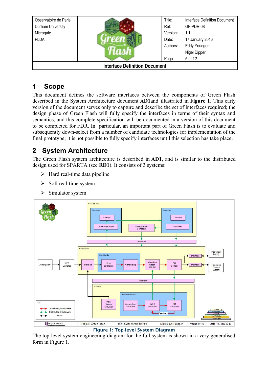| Observatoire de Paris                |  | Title:   | Interface Definition Document |
|--------------------------------------|--|----------|-------------------------------|
| Durham University                    |  | Ref:     | GF-PDR-08                     |
| Microgate                            |  | Version: | 1.1                           |
| <b>PLDA</b>                          |  | Date:    | 17 January 2016               |
|                                      |  | Authors: | <b>Eddy Younger</b>           |
|                                      |  |          | Nigel Dipper                  |
|                                      |  | Page:    | 6 of 12                       |
| <b>Interface Definition Document</b> |  |          |                               |

### **1 Scope**

This document defines the software interfaces between the components of Green Flash described in the System Architecture document **[AD1](#page-3-0)**and illustrated in **[Figure 1](#page-5-0)**. This early version of the document serves only to capture and describe the set of interfaces required; the design phase of Green Flash will fully specify the interfaces in terms of their syntax and semantics, and this complete specification will be documented in a version of this document to be completed for FDR. In particular, an important part of Green Flash is to evaluate and subsequently down-select from a number of candidate technologies for implementation of the final prototype; it is not possible to fully specify interfaces until this selection has take place.

## **2 System Architecture**

The Green Flash system architecture is described in **[AD1](#page-3-0)**, and is similar to the distributed design used for SPARTA (see **[RD1](#page-3-1)**). It consists of 3 systems:

- $\triangleright$  Hard real-time data pipeline
- $\triangleright$  Soft real-time system
- ➢ Simulator system



<span id="page-5-0"></span>Figure 1: Top-level System Diagram

The top level system engineering diagram for the full system is shown in a very generalised form in [Figure 1.](#page-5-0)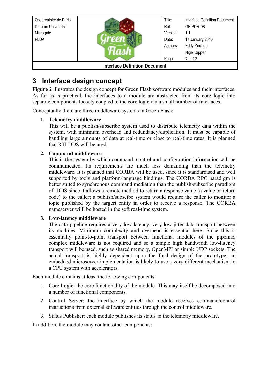| Observatoire de Paris<br>Durham University |                                      | Title:<br>Ref: | Interface Definition Document<br>GF-PDR-08 |
|--------------------------------------------|--------------------------------------|----------------|--------------------------------------------|
| Microgate                                  |                                      | Version:       | 1.1                                        |
| <b>PLDA</b>                                |                                      | Date:          | 17 January 2016                            |
|                                            |                                      | Authors:       | <b>Eddy Younger</b>                        |
|                                            |                                      |                | Nigel Dipper                               |
|                                            |                                      | Page:          | 7 of 12                                    |
|                                            | <b>Interface Definition Document</b> |                |                                            |

### **3 Interface design concept**

**[Figure 2](#page-7-0)** illustrates the design concept for Green Flash software modules and their interfaces. As far as is practical, the interfaces to a module are abstracted from its core logic into separate components loosely coupled to the core logic via a small number of interfaces.

Conceptually there are three middleware systems in Green Flash:

#### **1. Telemetry middleware**

This will be a publish/subscribe system used to distribute telemetry data within the system, with minimum overhead and redundancy/duplication. It must be capable of handling large amounts of data at real-time or close to real-time rates. It is planned that RTI DDS will be used.

#### **2. Command middleware**

This is the system by which command, control and configuration information will be communicated. Its requirements are much less demanding than the telemetry middleware. It is planned that CORBA will be used, since it is standardised and well supported by tools and platform/language bindings. The CORBA RPC paradigm is better suited to synchronous command mediation than the publish-subscribe paradigm of DDS since it allows a remote method to return a response value (a value or return code) to the caller; a publish/subscibe system would require the caller to monitor a topic published by the targert entity in order to receive a response. The CORBA nameserver willl be hosted in the soft real-time system.

#### **3. Low-latency middleware**

The data pipeline requires a very low latency, very low jitter data transport between its modules. Minimum complexity and overhead is essential here. Since this is essentially point-to-point transport between functional modules of the pipeline, complex middleware is not required and so a simple high bandwidth low-latency transport will be used, such as shared memory, OpenMPI or simple UDP sockets. The actual transport is highly dependent upon the final design of the prototype: an embedded microserver implementation is likely to use a very different mechanism to a CPU system with accelerators.

Each module contains at least the following components:

- 1. Core Logic: the core functionality of the module. This may itself be decomposed into a number of functional components.
- 2. Control Server: the interface by which the module receives command/control instructions from external software entities through the control middleware.
- 3. Status Publisher: each module publishes its status to the telemetry middleware.

In addition, the module may contain other components: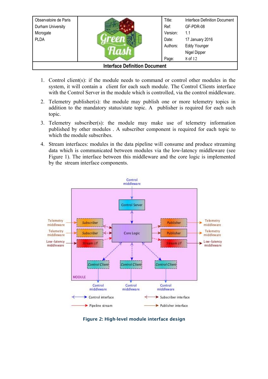| Observatoire de Paris<br>Durham University<br>Microgate |  | Title:<br>Ref:<br>Version: | Interface Definition Document<br>GF-PDR-08<br>1.1      |
|---------------------------------------------------------|--|----------------------------|--------------------------------------------------------|
| <b>PLDA</b>                                             |  | Date:<br>Authors:          | 17 January 2016<br><b>Eddy Younger</b><br>Nigel Dipper |
|                                                         |  | Page:                      | 8 of 12                                                |
| <b>Interface Definition Document</b>                    |  |                            |                                                        |

- 1. Control client(s): if the module needs to command or control other modules in the system, it will contain a client for each such module. The Control Clients interface with the Control Server in the module which is controlled, via the control middleware.
- 2. Telemetry publisher(s): the module may publish one or more telemetry topics in addition to the mandatory status/state topic. A publisher is required for each such topic.
- 3. Telemetry subscriber(s): the module may make use of telemetry information published by other modules . A subscriber component is required for each topic to which the module subscribes.
- 4. Stream interfaces: modules in the data pipeline will consume and produce streaming data which is communicated between modules via the low-latency middleware (see [Figure 1\)](#page-5-0). The interface between this middleware and the core logic is implemented by the stream interface components.



<span id="page-7-0"></span>Figure 2: High-level module interface design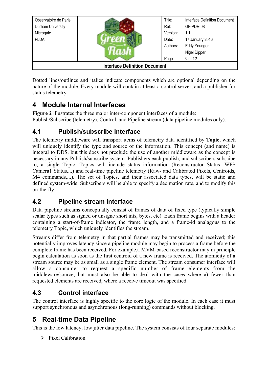| Observatoire de Paris                |  | Title:   | <b>Interface Definition Document</b> |
|--------------------------------------|--|----------|--------------------------------------|
| Durham University                    |  | Ref:     | GF-PDR-08                            |
| Microgate                            |  | Version: | 1.1                                  |
| <b>PLDA</b>                          |  | Date:    | 17 January 2016                      |
|                                      |  | Authors: | <b>Eddy Younger</b>                  |
|                                      |  |          | Nigel Dipper                         |
|                                      |  | Page:    | 9 of 12                              |
| <b>Interface Definition Document</b> |  |          |                                      |

Dotted lines/outlines and italics indicate components which are optional depending on the nature of the module. Every module will contain at least a control server, and a publisher for status telemetry.

## **4 Module Internal Interfaces**

**[Figure 2](#page-7-0)** illustrates the three major inter-component interfaces of a module: Publish/Subscribe (telemetry), Control, and Pipeline stream (data pipeline modules only).

### **4.1 Publish/subscribe interface**

The telemetry middleware will transport items of telemetry data identified by **Topic**, which will uniquely identify the type and source of the information. This concept (and name) is integral to DDS, but this does not preclude the use of another middleware as the concept is necessary in any Publish/subscribe system. Publishers each publish, and subscribers subscibe to, a single Topic. Topics will include status information (Reconstructor Status, WFS Camera1 Status,...) and real-time pipeline telemetry (Raw- and Calibrated Pixels, Centroids, M4 commands,...). The set of Topics, and their associated data types, will be static and defined system-wide. Subscribers will be able to specify a decimation rate, and to modify this on-the-fly.

### **4.2 Pipeline stream interface**

Data pipeline streams conceptually consist of frames of data of fixed type (typically simple scalar types such as signed or unsigne short ints, bytes, etc). Each frame begins with a header containing a start-of-frame indicator, the frame length, and a frame-id analagous to the telemetry Topic, which uniquely identifies the stream.

Streams differ from telemetry in that partial frames may be transmitted and received; this potentially improves latency since a pipeline module may begin to process a frame before the complete frame has been received. For example,a MVM-based reconstructor may in principle begin calculation as soon as the first centroid of a new frame is received. The atomicity of a stream source may be as small as a single frame element. The stream consumer interface will allow a consumer to request a specific number of frame elements from the middleware/source, but must also be able to deal with the cases where a) fewer than requested elements are received, where a receive timeout was specified.

### **4.3 Control interface**

The control interface is highly specific to the core logic of the module. In each case it must support synchronous and asynchronous (long-running) commands without blocking.

### **5 Real-time Data Pipeline**

This is the low latency, low jitter data pipeline. The system consists of four separate modules:

➢ Pixel Calibration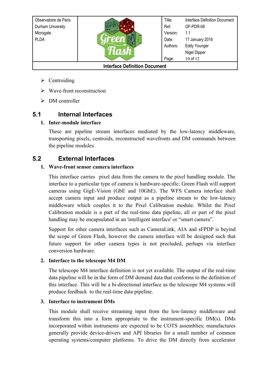| Observatoire de Paris                |  | Title:   | <b>Interface Definition Document</b> |  |
|--------------------------------------|--|----------|--------------------------------------|--|
| Durham University                    |  | Ref:     | GF-PDR-08                            |  |
|                                      |  |          |                                      |  |
| Microgate                            |  | Version: | 1.1                                  |  |
| <b>PLDA</b>                          |  | Date:    | 17 January 2016                      |  |
|                                      |  | Authors: | <b>Eddy Younger</b>                  |  |
|                                      |  |          | Nigel Dipper                         |  |
|                                      |  | Page:    | 10 of 12                             |  |
| <b>Interface Definition Document</b> |  |          |                                      |  |

- ➢ Centroiding
- $\triangleright$  Wave-front reconstruction
- $\triangleright$  DM controller

### **5.1 Internal Interfaces**

#### **1. Inter-module interface**

These are pipeline stream interfaces mediated by the low-latency middleware, transporting pixels, centroids, reconstructed wavefronts and DM commands between the pipeline modules.

### **5.2 External Interfaces**

#### **1. Wave-front sensor camera interfaces**

This interface carries pixel data from the camera to the pixel handling module. The interface to a particular type of camera is hardware-specific; Green Flash will support cameras using GigE-Vision (GbE and 10GbE). The WFS Camera interface shall accept camera input and produce output as a pipeline stream to the low-latency middleware which couples it to the Pixel Calibration module. Whilst the Pixel Calibration module is a part of the real-time data pipeline, all or part of the pixel handling may be encapsulated in an 'intelligent interface' or "smart camera".

Support for other camera interfaces such as CameraLink, AIA and sFPDP is beyind the scope of Green Flash, however the camera interface will be designed such that future support for other camera types is not precluded, perhaps via interface conversion hardware.

#### **2. Interface to the telescope M4 DM**

The telescope M4 interface definition is not yet available. The output of the real-time data pipeline will be in the form of DM demand data that conforms to the definition of this interface. This will be a bi-directional interface as the telescope M4 systems will produce feedback to the real-time data pipeline.

#### **3. Interface to instrument DMs**

This module shall receive streaming input from the low-latency middleware and transform this into a form appropriate to the instrument-specific DM(s). DMs incorporated within instruments are expected to be COTS assemblies; manufactures generally provide device-drivers and API libraries for a small number of common operating systems/computer platforms. To drive the DM directly from accelerator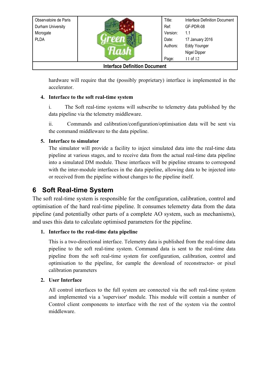| Observatoire de Paris<br>Durham University<br>Microgate |  | Title:<br>Ref:<br>Version: | Interface Definition Document<br>GF-PDR-08<br>1.1                  |  |
|---------------------------------------------------------|--|----------------------------|--------------------------------------------------------------------|--|
| <b>PLDA</b>                                             |  | Date:<br>Authors:<br>Page: | 17 January 2016<br><b>Eddy Younger</b><br>Nigel Dipper<br>11 of 12 |  |
| <b>Interface Definition Document</b>                    |  |                            |                                                                    |  |

hardware will require that the (possibly proprietary) interface is implemented in the accelerator.

#### **4. Interface to the soft real-time system**

i. The Soft real-time systems will subscribe to telemetry data published by the data pipeline via the telemetry middleware.

ii. Commands and calibration/configuration/optimisation data will be sent via the command middleware to the data pipeline.

#### **5. Interface to simulator**

The simulator will provide a facility to inject simulated data into the real-time data pipeline at various stages, and to receive data from the actual real-time data pipeline into a simulated DM module. These interfaces will be pipeline streams to correspond with the inter-module interfaces in the data pipeline, allowing data to be injected into or received from the pipeline without changes to the pipeline itself.

### **6 Soft Real-time System**

The soft real-time system is responsible for the configuration, calibration, control and optimisation of the hard real-time pipeline. It consumes telemetry data from the data pipeline (and potentially other parts of a complete AO system, such as mechanisms), and uses this data to calculate optimised parameters for the pipeline.

### **1. Interface to the real-time data pipeline**

This is a two-directional interface. Telemetry data is published from the real-time data pipeline to the soft real-time system. Command data is sent to the real-time data pipeline from the soft real-time system for configuration, calibration, control and optimisation to the pipeline, for eample the download of reconstructor- or pixel calibration parameters

### **2. User Interface**

All control interfaces to the full system are connected via the soft real-time system and implemented via a 'supervisor' module. This module will contain a number of Control client components to interface with the rest of the system via the control middleware.